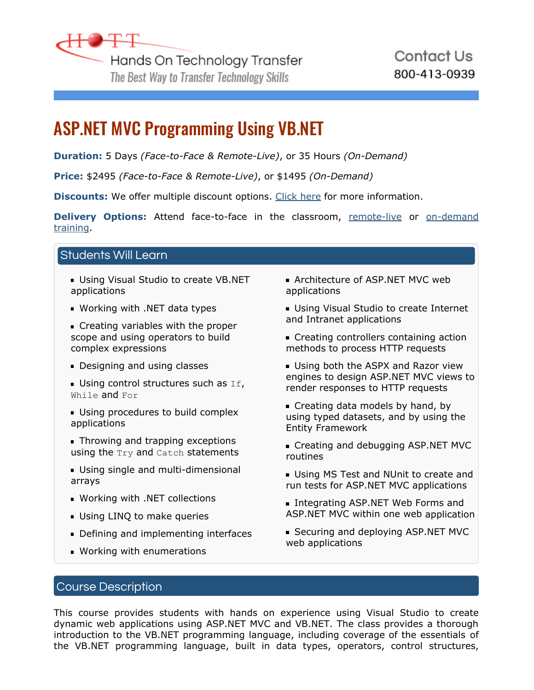

# ASP.NET MVC Programming Using VB.NET

**Duration:** 5 Days *(Face-to-Face & Remote-Live)*, or 35 Hours *(On-Demand)*

**Price:** \$2495 *(Face-to-Face & Remote-Live)*, or \$1495 *(On-Demand)*

**Discounts:** We offer multiple discount options. [Click here](https://www.traininghott.com/Discounts.htm) for more information.

**Delivery Options:** Attend face-to-face in the classroom, [remote-live](https://www.traininghott.com/Remote-Training.php) or [on-demand](https://www.traininghott.com/On-Demand-Streaming.php) [training.](https://www.traininghott.com/On-Demand-Streaming.php)

# Students Will Learn

- Using Visual Studio to create VB.NET applications
- Working with .NET data types
- **Creating variables with the proper** scope and using operators to build complex expressions
- **Designing and using classes**
- Using control structures such as  $If,$ While and For
- Using procedures to build complex applications
- **Throwing and trapping exceptions** using the Try and Catch statements
- Using single and multi-dimensional arrays
- Working with .NET collections
- **Using LINQ to make queries**
- Defining and implementing interfaces
- Working with enumerations
- **Architecture of ASP.NET MVC web** applications
- Using Visual Studio to create Internet and Intranet applications
- **Creating controllers containing action** methods to process HTTP requests
- Using both the ASPX and Razor view engines to design ASP.NET MVC views to render responses to HTTP requests
- **Creating data models by hand, by** using typed datasets, and by using the Entity Framework
- Creating and debugging ASP.NET MVC routines
- **Using MS Test and NUnit to create and** run tests for ASP.NET MVC applications
- **Integrating ASP.NET Web Forms and** ASP.NET MVC within one web application
- **Securing and deploying ASP.NET MVC** web applications

## Course Description

This course provides students with hands on experience using Visual Studio to create dynamic web applications using ASP.NET MVC and VB.NET. The class provides a thorough introduction to the VB.NET programming language, including coverage of the essentials of the VB.NET programming language, built in data types, operators, control structures,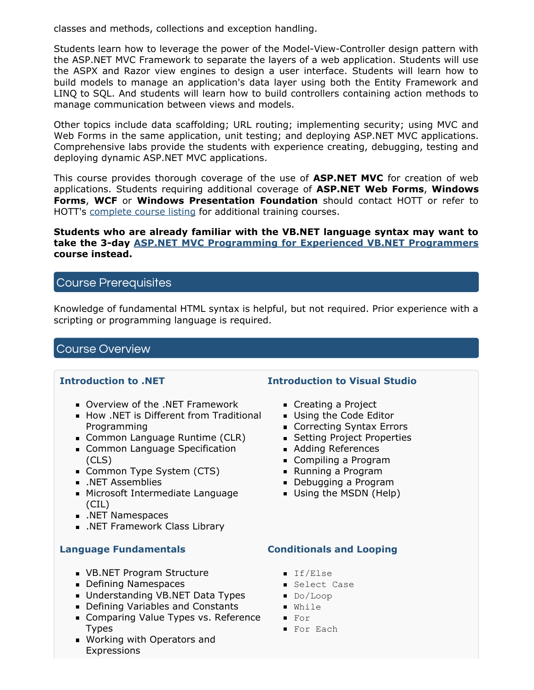classes and methods, collections and exception handling.

Students learn how to leverage the power of the Model-View-Controller design pattern with the ASP.NET MVC Framework to separate the layers of a web application. Students will use the ASPX and Razor view engines to design a user interface. Students will learn how to build models to manage an application's data layer using both the Entity Framework and LINQ to SQL. And students will learn how to build controllers containing action methods to manage communication between views and models.

Other topics include data scaffolding; URL routing; implementing security; using MVC and Web Forms in the same application, unit testing; and deploying ASP.NET MVC applications. Comprehensive labs provide the students with experience creating, debugging, testing and deploying dynamic ASP.NET MVC applications.

This course provides thorough coverage of the use of **ASP.NET MVC** for creation of web applications. Students requiring additional coverage of **ASP.NET Web Forms**, **Windows Forms**, **WCF** or **Windows Presentation Foundation** should contact HOTT or refer to HOTT's [complete course listing](https://www.traininghott.com/Courses.htm) for additional training courses.

#### **Students who are already familiar with the VB.NET language syntax may want to take the 3-day [ASP.NET MVC Programming for Experienced VB.NET Programmers](https://www.traininghott.com/Courses/ASP-NET-MVC-Training-Courses-Using-VB-NET.htm) course instead.**

## Course Prerequisites

Knowledge of fundamental HTML syntax is helpful, but not required. Prior experience with a scripting or programming language is required.

## Course Overview

### **Introduction to .NET**

- Overview of the .NET Framework
- How .NET is Different from Traditional Programming
- **Common Language Runtime (CLR)**
- **Common Language Specification** (CLS)
- Common Type System (CTS)
- .NET Assemblies
- **Microsoft Intermediate Language** (CIL)
- **.** NET Namespaces
- .NET Framework Class Library

### **Language Fundamentals**

- VB.NET Program Structure
- **Defining Namespaces**
- Understanding VB.NET Data Types
- Defining Variables and Constants
- **Comparing Value Types vs. Reference** Types
- Working with Operators and Expressions

### **Introduction to Visual Studio**

- Creating a Project
- **Using the Code Editor**
- Correcting Syntax Errors
- **Setting Project Properties**
- Adding References
- **Compiling a Program**
- Running a Program
- Debugging a Program
- **Using the MSDN (Help)**

### **Conditionals and Looping**

- **If/Else**
- **Select Case**
- Do/Loop
- While
- For
- **For Each**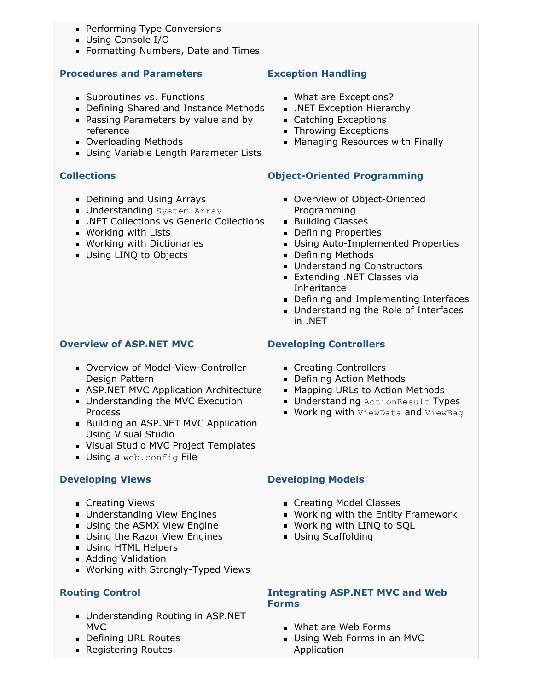- **Performing Type Conversions**
- Using Console I/O
- **Formatting Numbers, Date and Times**

### **Procedures and Parameters**

- Subroutines vs. Functions
- **Defining Shared and Instance Methods**
- **Passing Parameters by value and by** reference
- **D** Overloading Methods
- **Using Variable Length Parameter Lists**

## **Collections**

- **Defining and Using Arrays**
- **Understanding** System. Array
- .NET Collections vs Generic Collections
- Working with Lists
- **Working with Dictionaries**
- **Using LINQ to Objects**

## **Overview of ASP.NET MVC**

- Overview of Model-View-Controller Design Pattern
- **ASP.NET MVC Application Architecture**
- **Understanding the MVC Execution** Process
- **Building an ASP.NET MVC Application** Using Visual Studio
- **Visual Studio MVC Project Templates**
- **Using a web.config File**

### **Developing Views**

- **Creating Views**
- Understanding View Engines
- Using the ASMX View Engine
- Using the Razor View Engines
- **Using HTML Helpers**
- **Adding Validation**
- **Working with Strongly-Typed Views**

## **Routing Control**

- Understanding Routing in ASP.NET MVC
- **Defining URL Routes**
- **Registering Routes**

## **Exception Handling**

- **What are Exceptions?**
- **.** NET Exception Hierarchy
- Catching Exceptions
- **F** Throwing Exceptions
- **Managing Resources with Finally**

## **Object-Oriented Programming**

- **D** Overview of Object-Oriented Programming
- **Building Classes**
- **Defining Properties**
- **Using Auto-Implemented Properties**
- **Defining Methods**
- **Understanding Constructors**
- **Extending .NET Classes via** Inheritance
- Defining and Implementing Interfaces
- **Understanding the Role of Interfaces** in .NET

## **Developing Controllers**

- **Creating Controllers**
- **Defining Action Methods**
- **Mapping URLs to Action Methods**
- **Understanding ActionResult Types**
- **Working with ViewData and ViewBag**

### **Developing Models**

- Creating Model Classes
- Working with the Entity Framework
- Working with LINQ to SQL
	- **Using Scaffolding**

#### **Integrating ASP.NET MVC and Web Forms**

- **What are Web Forms**
- Using Web Forms in an MVC Application